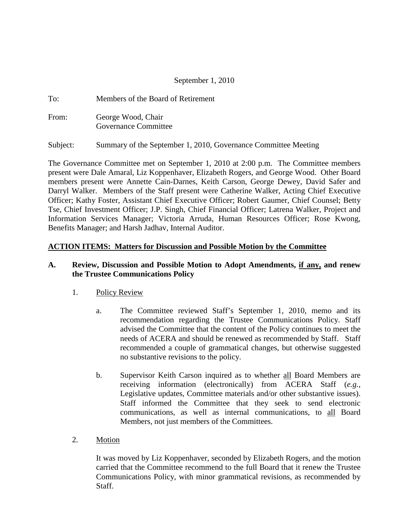### September 1, 2010

To: Members of the Board of Retirement From: George Wood, Chair Governance Committee

Subject: Summary of the September 1, 2010, Governance Committee Meeting

The Governance Committee met on September 1, 2010 at 2:00 p.m. The Committee members present were Dale Amaral, Liz Koppenhaver, Elizabeth Rogers, and George Wood. Other Board members present were Annette Cain-Darnes, Keith Carson, George Dewey, David Safer and Darryl Walker. Members of the Staff present were Catherine Walker, Acting Chief Executive Officer; Kathy Foster, Assistant Chief Executive Officer; Robert Gaumer, Chief Counsel; Betty Tse, Chief Investment Officer; J.P. Singh, Chief Financial Officer; Latrena Walker, Project and Information Services Manager; Victoria Arruda, Human Resources Officer; Rose Kwong, Benefits Manager; and Harsh Jadhav, Internal Auditor.

#### **ACTION ITEMS: Matters for Discussion and Possible Motion by the Committee**

#### **A. Review, Discussion and Possible Motion to Adopt Amendments, if any, and renew the Trustee Communications Policy**

#### 1. Policy Review

- a. The Committee reviewed Staff's September 1, 2010, memo and its recommendation regarding the Trustee Communications Policy. Staff advised the Committee that the content of the Policy continues to meet the needs of ACERA and should be renewed as recommended by Staff. Staff recommended a couple of grammatical changes, but otherwise suggested no substantive revisions to the policy.
- b. Supervisor Keith Carson inquired as to whether all Board Members are receiving information (electronically) from ACERA Staff (*e.g.*, Legislative updates, Committee materials and/or other substantive issues). Staff informed the Committee that they seek to send electronic communications, as well as internal communications, to all Board Members, not just members of the Committees.
- 2. Motion

It was moved by Liz Koppenhaver, seconded by Elizabeth Rogers, and the motion carried that the Committee recommend to the full Board that it renew the Trustee Communications Policy, with minor grammatical revisions, as recommended by Staff.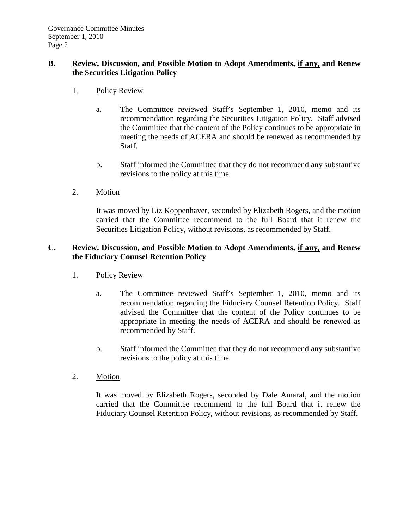### **B. Review, Discussion, and Possible Motion to Adopt Amendments, if any, and Renew the Securities Litigation Policy**

- 1. Policy Review
	- a. The Committee reviewed Staff's September 1, 2010, memo and its recommendation regarding the Securities Litigation Policy. Staff advised the Committee that the content of the Policy continues to be appropriate in meeting the needs of ACERA and should be renewed as recommended by Staff.
	- b. Staff informed the Committee that they do not recommend any substantive revisions to the policy at this time.
- 2. Motion

It was moved by Liz Koppenhaver, seconded by Elizabeth Rogers, and the motion carried that the Committee recommend to the full Board that it renew the Securities Litigation Policy, without revisions, as recommended by Staff.

### **C. Review, Discussion, and Possible Motion to Adopt Amendments, if any, and Renew the Fiduciary Counsel Retention Policy**

- 1. Policy Review
	- a. The Committee reviewed Staff's September 1, 2010, memo and its recommendation regarding the Fiduciary Counsel Retention Policy. Staff advised the Committee that the content of the Policy continues to be appropriate in meeting the needs of ACERA and should be renewed as recommended by Staff.
	- b. Staff informed the Committee that they do not recommend any substantive revisions to the policy at this time.
- 2. Motion

It was moved by Elizabeth Rogers, seconded by Dale Amaral, and the motion carried that the Committee recommend to the full Board that it renew the Fiduciary Counsel Retention Policy, without revisions, as recommended by Staff.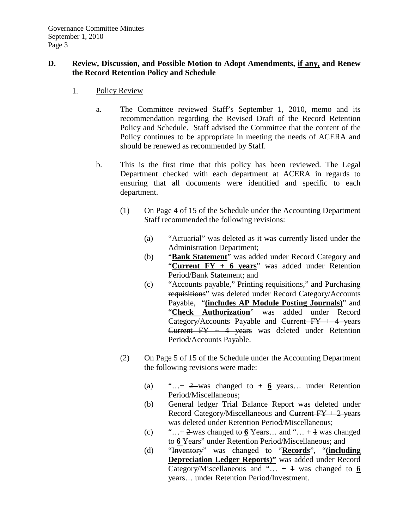### **D. Review, Discussion, and Possible Motion to Adopt Amendments, if any, and Renew the Record Retention Policy and Schedule**

- 1. Policy Review
	- a. The Committee reviewed Staff's September 1, 2010, memo and its recommendation regarding the Revised Draft of the Record Retention Policy and Schedule. Staff advised the Committee that the content of the Policy continues to be appropriate in meeting the needs of ACERA and should be renewed as recommended by Staff.
	- b. This is the first time that this policy has been reviewed. The Legal Department checked with each department at ACERA in regards to ensuring that all documents were identified and specific to each department.
		- (1) On Page 4 of 15 of the Schedule under the Accounting Department Staff recommended the following revisions:
			- (a) "Actuarial" was deleted as it was currently listed under the Administration Department;
			- (b) "**Bank Statement**" was added under Record Category and "**Current FY + 6 years**" was added under Retention Period/Bank Statement; and
			- (c) "Accounts payable," Printing requisitions," and Purchasing requisitions" was deleted under Record Category/Accounts Payable, "**(includes AP Module Posting Journals)**" and "**Check Authorization**" was added under Record Category/Accounts Payable and Current  $FY + 4$  years Current  $FY + 4$  years was deleted under Retention Period/Accounts Payable.
		- (2) On Page 5 of 15 of the Schedule under the Accounting Department the following revisions were made:
			- (a)  $\qquad \ldots + 2$  was changed to  $+ 6$  years... under Retention Period/Miscellaneous;
			- (b) General ledger Trial Balance Report was deleted under Record Category/Miscellaneous and Current  $FY + 2$  years was deleted under Retention Period/Miscellaneous;
			- (c)  $\cdots$   $\cdots$  + 2 was changed to **6** Years... and  $\cdots$  + 1 was changed to **6** Years" under Retention Period/Miscellaneous; and
			- (d) "Inventory" was changed to "**Records**", "**(including Depreciation Ledger Reports)"** was added under Record Category/Miscellaneous and "...  $+1$  was changed to  $6$ years… under Retention Period/Investment.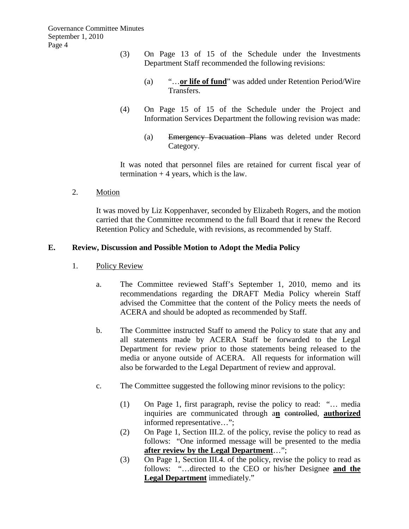- (3) On Page 13 of 15 of the Schedule under the Investments Department Staff recommended the following revisions:
	- (a) "…**or life of fund**" was added under Retention Period/Wire Transfers.
- (4) On Page 15 of 15 of the Schedule under the Project and Information Services Department the following revision was made:
	- (a) Emergency Evacuation Plans was deleted under Record Category.

It was noted that personnel files are retained for current fiscal year of termination  $+4$  years, which is the law.

2. Motion

It was moved by Liz Koppenhaver, seconded by Elizabeth Rogers, and the motion carried that the Committee recommend to the full Board that it renew the Record Retention Policy and Schedule, with revisions, as recommended by Staff.

### **E. Review, Discussion and Possible Motion to Adopt the Media Policy**

- 1. Policy Review
	- a. The Committee reviewed Staff's September 1, 2010, memo and its recommendations regarding the DRAFT Media Policy wherein Staff advised the Committee that the content of the Policy meets the needs of ACERA and should be adopted as recommended by Staff.
	- b. The Committee instructed Staff to amend the Policy to state that any and all statements made by ACERA Staff be forwarded to the Legal Department for review prior to those statements being released to the media or anyone outside of ACERA. All requests for information will also be forwarded to the Legal Department of review and approval.
	- c. The Committee suggested the following minor revisions to the policy:
		- (1) On Page 1, first paragraph, revise the policy to read: "… media inquiries are communicated through a**n** controlled, **authorized** informed representative…";
		- (2) On Page 1, Section III.2. of the policy, revise the policy to read as follows: "One informed message will be presented to the media **after review by the Legal Department**…";
		- (3) On Page 1, Section III.4. of the policy, revise the policy to read as follows: "…directed to the CEO or his/her Designee **and the Legal Department** immediately."